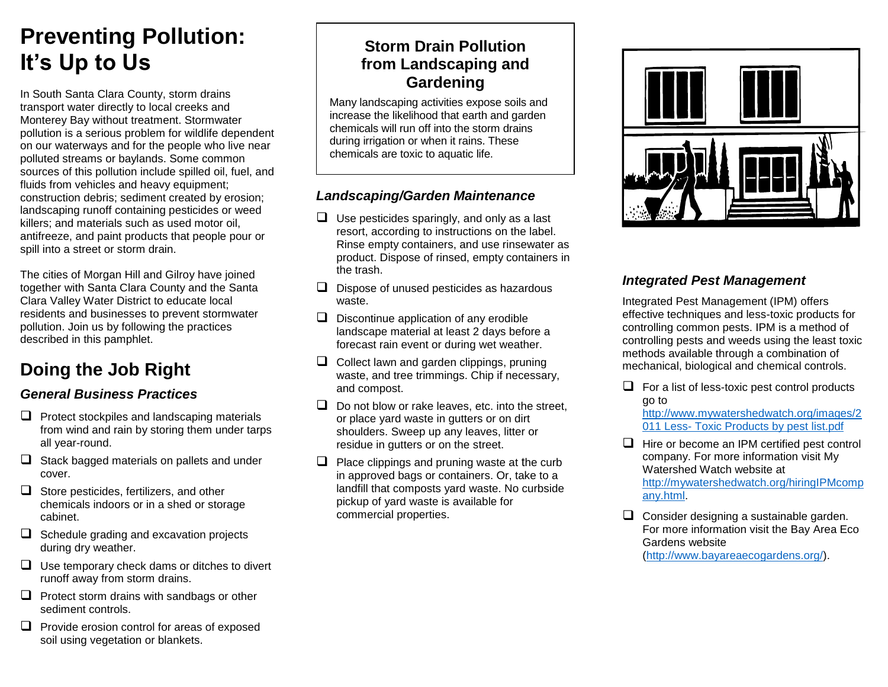# **Preventing Pollution: It's Up to Us**

In South Santa Clara County, storm drains transport water directly to local creeks and Monterey Bay without treatment. Stormwater pollution is a serious problem for wildlife dependent on our waterways and for the people who live near polluted streams or baylands. Some common sources of this pollution include spilled oil, fuel, and fluids from vehicles and heavy equipment; construction debris; sediment created by erosion; landscaping runoff containing pesticides or weed killers; and materials such as used motor oil, antifreeze, and paint products that people pour or spill into a street or storm drain.

The cities of Morgan Hill and Gilroy have joined together with Santa Clara County and the Santa Clara Valley Water District to educate local residents and businesses to prevent stormwater pollution. Join us by following the practices described in this pamphlet.

# **Doing the Job Right**

## *General Business Practices*

- $\Box$  Protect stockpiles and landscaping materials from wind and rain by storing them under tarps all year-round.
- $\Box$  Stack bagged materials on pallets and under cover.
- $\Box$  Store pesticides, fertilizers, and other chemicals indoors or in a shed or storage cabinet.
- $\Box$  Schedule grading and excavation projects during dry weather.
- $\Box$  Use temporary check dams or ditches to divert runoff away from storm drains.
- $\Box$  Protect storm drains with sandbags or other sediment controls.
- $\Box$  Provide erosion control for areas of exposed soil using vegetation or blankets.

# **Storm Drain Pollution from Landscaping and Gardening**

Many landscaping activities expose soils and increase the likelihood that earth and garden chemicals will run off into the storm drains during irrigation or when it rains. These chemicals are toxic to aquatic life.

# *Landscaping/Garden Maintenance*

- $\Box$  Use pesticides sparingly, and only as a last resort, according to instructions on the label. Rinse empty containers, and use rinsewater as product. Dispose of rinsed, empty containers in the trash.
- $\Box$  Dispose of unused pesticides as hazardous waste.
- $\Box$  Discontinue application of any erodible landscape material at least 2 days before a forecast rain event or during wet weather.
- $\Box$  Collect lawn and garden clippings, pruning waste, and tree trimmings. Chip if necessary, and compost.
- $\Box$  Do not blow or rake leaves, etc. into the street. or place yard waste in gutters or on dirt shoulders. Sweep up any leaves, litter or residue in gutters or on the street.
- $\Box$  Place clippings and pruning waste at the curb in approved bags or containers. Or, take to a landfill that composts yard waste. No curbside pickup of yard waste is available for commercial properties.



## *Integrated Pest Management*

Integrated Pest Management (IPM) offers effective techniques and less-toxic products for controlling common pests. IPM is a method of controlling pests and weeds using the least toxic methods available through a combination of mechanical, biological and chemical controls.

 $\Box$  For a list of less-toxic pest control products go to

[http://www.mywatershedwatch.org/images/2](http://www.mywatershedwatch.org/images/2011%20Less-%20Toxic%20Products%20by%20pest%20list.pdf) 011 Less- [Toxic Products by pest list.pdf](http://www.mywatershedwatch.org/images/2011%20Less-%20Toxic%20Products%20by%20pest%20list.pdf)

- $\Box$  Hire or become an IPM certified pest control company. For more information visit My Watershed Watch website at [http://mywatershedwatch.org/hiringIPMcomp](http://mywatershedwatch.org/hiringIPMcompany.html) [any.html.](http://mywatershedwatch.org/hiringIPMcompany.html)
- $\Box$  Consider designing a sustainable garden. For more information visit the Bay Area Eco Gardens website [\(http://www.bayareaecogardens.org/\)](http://www.bayareaecogardens.org/).